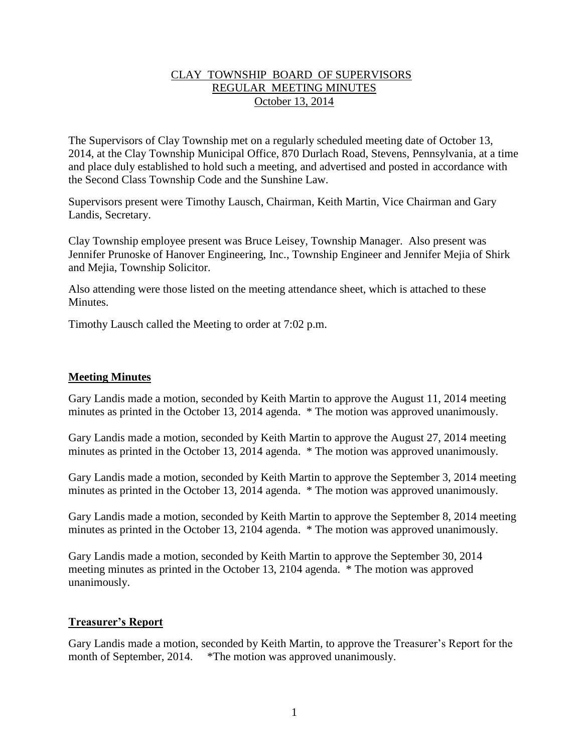## CLAY TOWNSHIP BOARD OF SUPERVISORS REGULAR MEETING MINUTES October 13, 2014

The Supervisors of Clay Township met on a regularly scheduled meeting date of October 13, 2014, at the Clay Township Municipal Office, 870 Durlach Road, Stevens, Pennsylvania, at a time and place duly established to hold such a meeting, and advertised and posted in accordance with the Second Class Township Code and the Sunshine Law.

Supervisors present were Timothy Lausch, Chairman, Keith Martin, Vice Chairman and Gary Landis, Secretary.

Clay Township employee present was Bruce Leisey, Township Manager. Also present was Jennifer Prunoske of Hanover Engineering, Inc., Township Engineer and Jennifer Mejia of Shirk and Mejia, Township Solicitor.

Also attending were those listed on the meeting attendance sheet, which is attached to these **Minutes** 

Timothy Lausch called the Meeting to order at 7:02 p.m.

## **Meeting Minutes**

Gary Landis made a motion, seconded by Keith Martin to approve the August 11, 2014 meeting minutes as printed in the October 13, 2014 agenda. \* The motion was approved unanimously.

Gary Landis made a motion, seconded by Keith Martin to approve the August 27, 2014 meeting minutes as printed in the October 13, 2014 agenda. \* The motion was approved unanimously.

Gary Landis made a motion, seconded by Keith Martin to approve the September 3, 2014 meeting minutes as printed in the October 13, 2014 agenda. \* The motion was approved unanimously.

Gary Landis made a motion, seconded by Keith Martin to approve the September 8, 2014 meeting minutes as printed in the October 13, 2104 agenda. \* The motion was approved unanimously.

Gary Landis made a motion, seconded by Keith Martin to approve the September 30, 2014 meeting minutes as printed in the October 13, 2104 agenda. \* The motion was approved unanimously.

## **Treasurer's Report**

Gary Landis made a motion, seconded by Keith Martin, to approve the Treasurer's Report for the month of September, 2014. \*The motion was approved unanimously.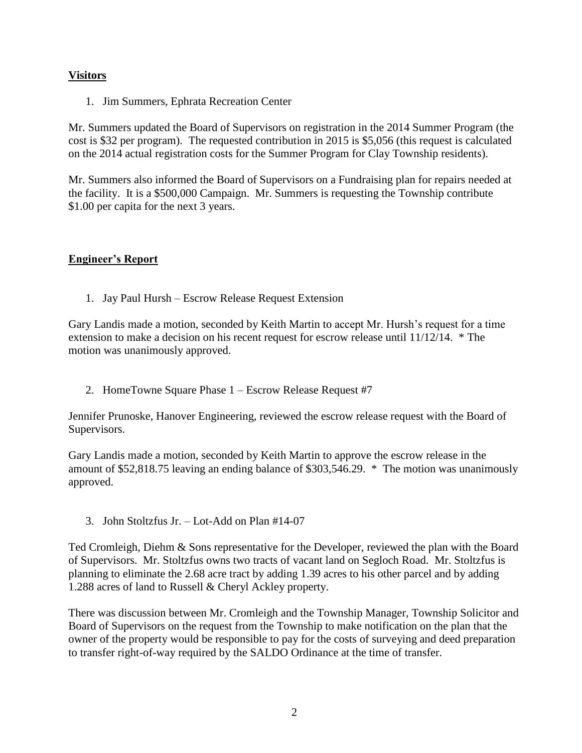# **Visitors**

1. Jim Summers, Ephrata Recreation Center

Mr. Summers updated the Board of Supervisors on registration in the 2014 Summer Program (the cost is \$32 per program). The requested contribution in 2015 is \$5,056 (this request is calculated on the 2014 actual registration costs for the Summer Program for Clay Township residents).

Mr. Summers also informed the Board of Supervisors on a Fundraising plan for repairs needed at the facility. It is a \$500,000 Campaign. Mr. Summers is requesting the Township contribute \$1.00 per capita for the next 3 years.

# **Engineer's Report**

1. Jay Paul Hursh – Escrow Release Request Extension

Gary Landis made a motion, seconded by Keith Martin to accept Mr. Hursh's request for a time extension to make a decision on his recent request for escrow release until 11/12/14. \* The motion was unanimously approved.

2. HomeTowne Square Phase 1 – Escrow Release Request #7

Jennifer Prunoske, Hanover Engineering, reviewed the escrow release request with the Board of Supervisors.

Gary Landis made a motion, seconded by Keith Martin to approve the escrow release in the amount of \$52,818.75 leaving an ending balance of \$303,546.29. \* The motion was unanimously approved.

3. John Stoltzfus Jr. – Lot-Add on Plan #14-07

Ted Cromleigh, Diehm & Sons representative for the Developer, reviewed the plan with the Board of Supervisors. Mr. Stoltzfus owns two tracts of vacant land on Segloch Road. Mr. Stoltzfus is planning to eliminate the 2.68 acre tract by adding 1.39 acres to his other parcel and by adding 1.288 acres of land to Russell & Cheryl Ackley property.

There was discussion between Mr. Cromleigh and the Township Manager, Township Solicitor and Board of Supervisors on the request from the Township to make notification on the plan that the owner of the property would be responsible to pay for the costs of surveying and deed preparation to transfer right-of-way required by the SALDO Ordinance at the time of transfer.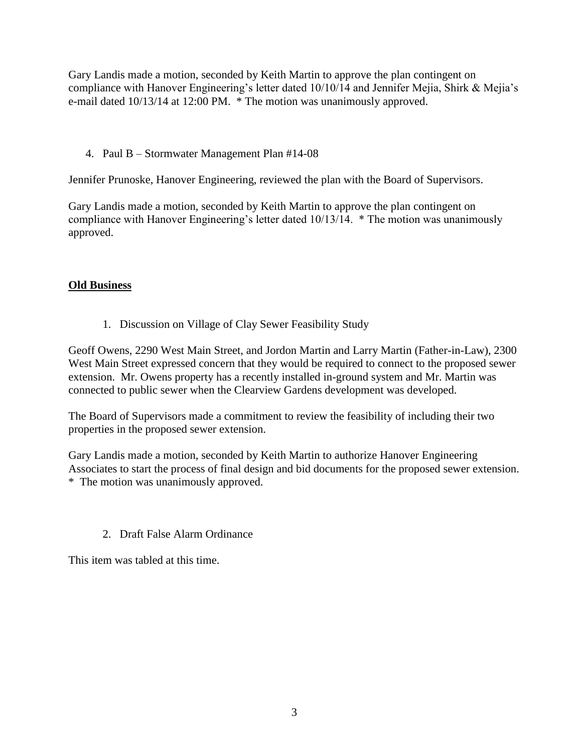Gary Landis made a motion, seconded by Keith Martin to approve the plan contingent on compliance with Hanover Engineering's letter dated 10/10/14 and Jennifer Mejia, Shirk & Mejia's e-mail dated 10/13/14 at 12:00 PM. \* The motion was unanimously approved.

4. Paul B – Stormwater Management Plan #14-08

Jennifer Prunoske, Hanover Engineering, reviewed the plan with the Board of Supervisors.

Gary Landis made a motion, seconded by Keith Martin to approve the plan contingent on compliance with Hanover Engineering's letter dated 10/13/14. \* The motion was unanimously approved.

## **Old Business**

1. Discussion on Village of Clay Sewer Feasibility Study

Geoff Owens, 2290 West Main Street, and Jordon Martin and Larry Martin (Father-in-Law), 2300 West Main Street expressed concern that they would be required to connect to the proposed sewer extension. Mr. Owens property has a recently installed in-ground system and Mr. Martin was connected to public sewer when the Clearview Gardens development was developed.

The Board of Supervisors made a commitment to review the feasibility of including their two properties in the proposed sewer extension.

Gary Landis made a motion, seconded by Keith Martin to authorize Hanover Engineering Associates to start the process of final design and bid documents for the proposed sewer extension. \* The motion was unanimously approved.

2. Draft False Alarm Ordinance

This item was tabled at this time.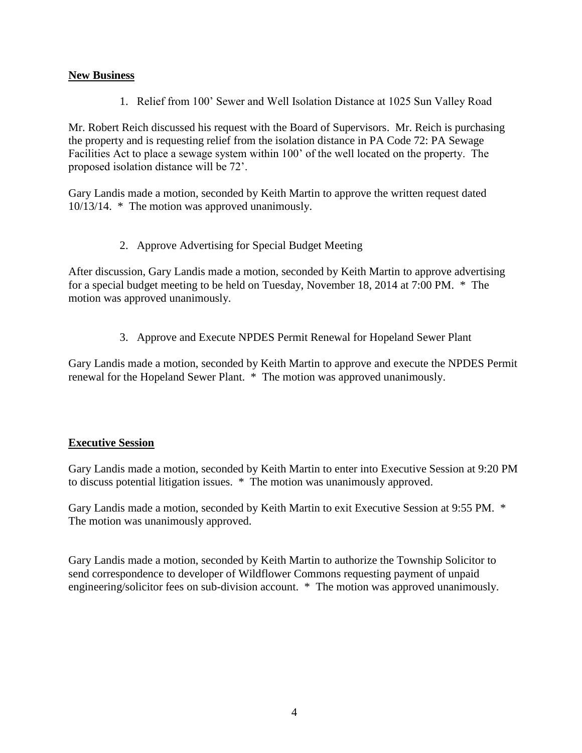## **New Business**

1. Relief from 100' Sewer and Well Isolation Distance at 1025 Sun Valley Road

Mr. Robert Reich discussed his request with the Board of Supervisors. Mr. Reich is purchasing the property and is requesting relief from the isolation distance in PA Code 72: PA Sewage Facilities Act to place a sewage system within 100' of the well located on the property. The proposed isolation distance will be 72'.

Gary Landis made a motion, seconded by Keith Martin to approve the written request dated 10/13/14. \* The motion was approved unanimously.

2. Approve Advertising for Special Budget Meeting

After discussion, Gary Landis made a motion, seconded by Keith Martin to approve advertising for a special budget meeting to be held on Tuesday, November 18, 2014 at 7:00 PM. \* The motion was approved unanimously.

3. Approve and Execute NPDES Permit Renewal for Hopeland Sewer Plant

Gary Landis made a motion, seconded by Keith Martin to approve and execute the NPDES Permit renewal for the Hopeland Sewer Plant. \* The motion was approved unanimously.

## **Executive Session**

Gary Landis made a motion, seconded by Keith Martin to enter into Executive Session at 9:20 PM to discuss potential litigation issues. \* The motion was unanimously approved.

Gary Landis made a motion, seconded by Keith Martin to exit Executive Session at 9:55 PM. \* The motion was unanimously approved.

Gary Landis made a motion, seconded by Keith Martin to authorize the Township Solicitor to send correspondence to developer of Wildflower Commons requesting payment of unpaid engineering/solicitor fees on sub-division account. \* The motion was approved unanimously.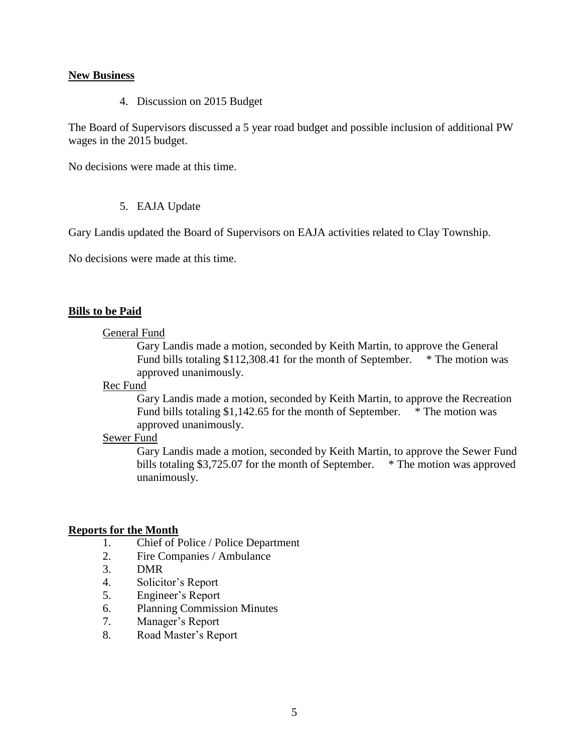### **New Business**

4. Discussion on 2015 Budget

The Board of Supervisors discussed a 5 year road budget and possible inclusion of additional PW wages in the 2015 budget.

No decisions were made at this time.

### 5. EAJA Update

Gary Landis updated the Board of Supervisors on EAJA activities related to Clay Township.

No decisions were made at this time.

### **Bills to be Paid**

#### General Fund

Gary Landis made a motion, seconded by Keith Martin, to approve the General Fund bills totaling \$112,308.41 for the month of September. \* The motion was approved unanimously.

#### Rec Fund

Gary Landis made a motion, seconded by Keith Martin, to approve the Recreation Fund bills totaling \$1,142.65 for the month of September. \* The motion was approved unanimously.

#### Sewer Fund

Gary Landis made a motion, seconded by Keith Martin, to approve the Sewer Fund bills totaling \$3,725.07 for the month of September. \* The motion was approved unanimously.

## **Reports for the Month**

- 1. Chief of Police / Police Department
- 2. Fire Companies / Ambulance
- 3. DMR
- 4. Solicitor's Report
- 5. Engineer's Report
- 6. Planning Commission Minutes
- 7. Manager's Report
- 8. Road Master's Report